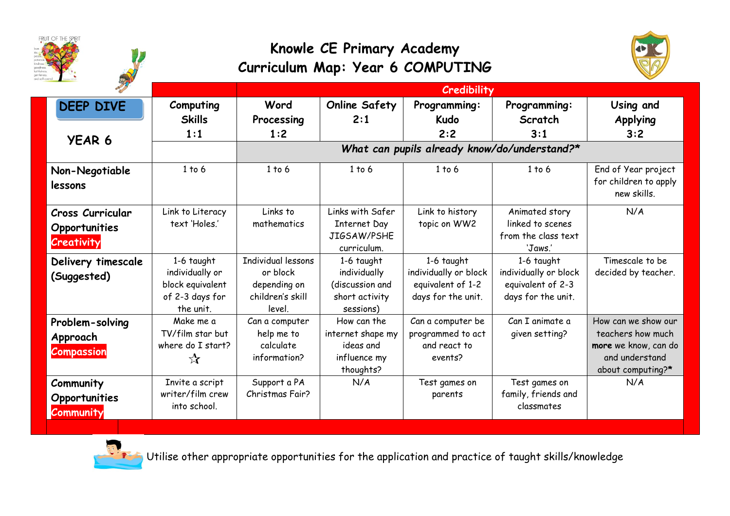





|                                                        |                                                                                   | <b>Credibility</b>                                                           |                                                                              |                                                                                |                                                                                |                                                                                                         |
|--------------------------------------------------------|-----------------------------------------------------------------------------------|------------------------------------------------------------------------------|------------------------------------------------------------------------------|--------------------------------------------------------------------------------|--------------------------------------------------------------------------------|---------------------------------------------------------------------------------------------------------|
| <b>DEEP DIVE</b>                                       | Computing<br><b>Skills</b>                                                        | Word<br>Processing                                                           | <b>Online Safety</b><br>2:1                                                  | Programming:<br><b>Kudo</b>                                                    | Programming:<br>Scratch                                                        | Using and<br><b>Applying</b>                                                                            |
| YEAR 6                                                 | 1:1                                                                               | 1:2                                                                          |                                                                              | 2:2                                                                            | 3:1                                                                            | 3:2                                                                                                     |
|                                                        |                                                                                   | What can pupils already know/do/understand?*                                 |                                                                              |                                                                                |                                                                                |                                                                                                         |
| Non-Negotiable<br>lessons                              | 1 to 6                                                                            | 1 to 6                                                                       | 1 to 6                                                                       | 1 to 6                                                                         | 1 to 6                                                                         | End of Year project<br>for children to apply<br>new skills.                                             |
| <b>Cross Curricular</b><br>Opportunities<br>Creativity | Link to Literacy<br>text 'Holes.'                                                 | Links to<br>mathematics                                                      | Links with Safer<br>Internet Day<br>JIGSAW/PSHE<br>curriculum.               | Link to history<br>topic on WW2                                                | Animated story<br>linked to scenes<br>from the class text<br>'Jaws.'           | N/A                                                                                                     |
| Delivery timescale<br>(Suggested)                      | 1-6 taught<br>individually or<br>block equivalent<br>of 2-3 days for<br>the unit. | Individual lessons<br>or block<br>depending on<br>children's skill<br>level. | 1-6 taught<br>individually<br>(discussion and<br>short activity<br>sessions) | 1-6 taught<br>individually or block<br>equivalent of 1-2<br>days for the unit. | 1-6 taught<br>individually or block<br>equivalent of 2-3<br>days for the unit. | Timescale to be<br>decided by teacher.                                                                  |
| Problem-solving<br>Approach<br><b>Compassion</b>       | Make me a<br>TV/film star but<br>where do I start?<br>$\frac{1}{\sqrt{2}}$        | Can a computer<br>help me to<br>calculate<br>information?                    | How can the<br>internet shape my<br>ideas and<br>influence my<br>thoughts?   | Can a computer be<br>programmed to act<br>and react to<br>events?              | Can I animate a<br>qiven setting?                                              | How can we show our<br>teachers how much<br>more we know, can do<br>and understand<br>about computing?* |
| Community<br>Opportunities<br><b>Community</b>         | Invite a script<br>writer/film crew<br>into school.                               | Support a PA<br>Christmas Fair?                                              | N/A                                                                          | Test games on<br>parents                                                       | Test games on<br>family, friends and<br>classmates                             | N/A                                                                                                     |



 $\sim$  Utilise other appropriate opportunities for the application and practice of taught skills/knowledge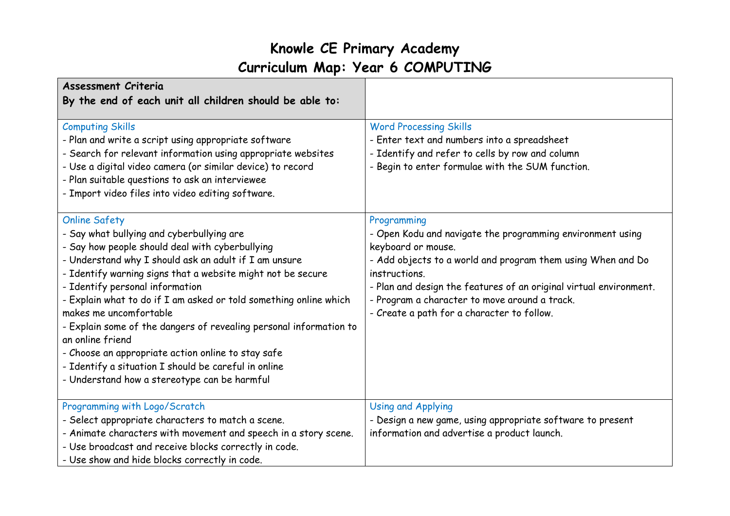| <b>Assessment Criteria</b><br>By the end of each unit all children should be able to:                                                                                                                                                                                                                                                                                                                                                                                                                                                                                                                                                                                                                                                                                                                                                                                                                                                                           |                                                                                                                                                                                                                                                                                                                                                                                                                                                                                                                                             |
|-----------------------------------------------------------------------------------------------------------------------------------------------------------------------------------------------------------------------------------------------------------------------------------------------------------------------------------------------------------------------------------------------------------------------------------------------------------------------------------------------------------------------------------------------------------------------------------------------------------------------------------------------------------------------------------------------------------------------------------------------------------------------------------------------------------------------------------------------------------------------------------------------------------------------------------------------------------------|---------------------------------------------------------------------------------------------------------------------------------------------------------------------------------------------------------------------------------------------------------------------------------------------------------------------------------------------------------------------------------------------------------------------------------------------------------------------------------------------------------------------------------------------|
| <b>Computing Skills</b><br>- Plan and write a script using appropriate software<br>- Search for relevant information using appropriate websites<br>- Use a digital video camera (or similar device) to record<br>- Plan suitable questions to ask an interviewee<br>- Import video files into video editing software.<br><b>Online Safety</b><br>- Say what bullying and cyberbullying are<br>- Say how people should deal with cyberbullying<br>- Understand why I should ask an adult if I am unsure<br>- Identify warning signs that a website might not be secure<br>- Identify personal information<br>- Explain what to do if I am asked or told something online which<br>makes me uncomfortable<br>- Explain some of the dangers of revealing personal information to<br>an online friend<br>- Choose an appropriate action online to stay safe<br>- Identify a situation I should be careful in online<br>- Understand how a stereotype can be harmful | <b>Word Processing Skills</b><br>- Enter text and numbers into a spreadsheet<br>- Identify and refer to cells by row and column<br>- Begin to enter formulae with the SUM function.<br>Programming<br>- Open Kodu and navigate the programming environment using<br>keyboard or mouse.<br>- Add objects to a world and program them using When and Do<br>instructions.<br>- Plan and design the features of an original virtual environment.<br>- Program a character to move around a track.<br>- Create a path for a character to follow. |
| Programming with Logo/Scratch<br>- Select appropriate characters to match a scene.<br>- Animate characters with movement and speech in a story scene.<br>- Use broadcast and receive blocks correctly in code.<br>- Use show and hide blocks correctly in code.                                                                                                                                                                                                                                                                                                                                                                                                                                                                                                                                                                                                                                                                                                 | <b>Using and Applying</b><br>- Design a new game, using appropriate software to present<br>information and advertise a product launch.                                                                                                                                                                                                                                                                                                                                                                                                      |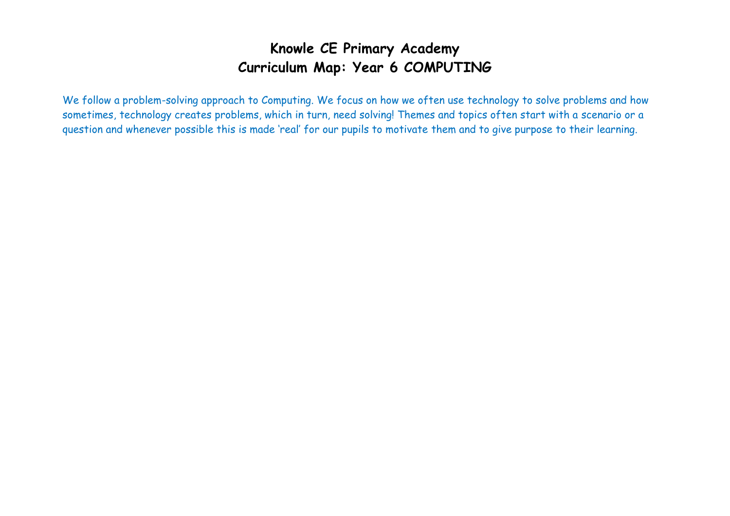We follow a problem-solving approach to Computing. We focus on how we often use technology to solve problems and how sometimes, technology creates problems, which in turn, need solving! Themes and topics often start with a scenario or a question and whenever possible this is made 'real' for our pupils to motivate them and to give purpose to their learning.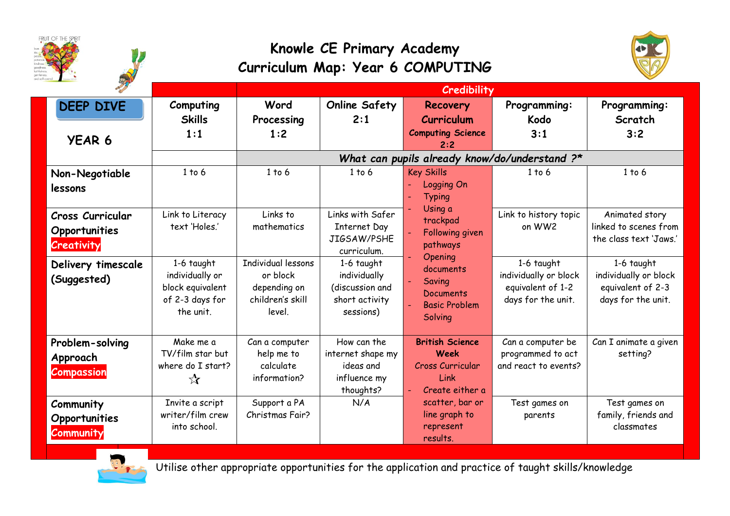





|                                                  |                                                                                   |                                                                                     |                                                                              | <b>Credibility</b>                                                                   |                                                                                |                                                                                |
|--------------------------------------------------|-----------------------------------------------------------------------------------|-------------------------------------------------------------------------------------|------------------------------------------------------------------------------|--------------------------------------------------------------------------------------|--------------------------------------------------------------------------------|--------------------------------------------------------------------------------|
| <b>DEEP DIVE</b><br>YEAR 6                       | Computing<br><b>Skills</b><br>1:1                                                 | Word<br>Processing<br>1:2                                                           | <b>Online Safety</b><br>2:1                                                  | <b>Recovery</b><br>Curriculum<br><b>Computing Science</b><br>2:2                     | Programming:<br>Kodo<br>3:1                                                    | Programming:<br>Scratch<br>3:2                                                 |
|                                                  |                                                                                   |                                                                                     |                                                                              |                                                                                      | What can pupils already know/do/understand ?*                                  |                                                                                |
| Non-Negotiable<br>lessons                        | 1 to 6                                                                            | 1 to 6                                                                              | 1 to 6                                                                       | <b>Key Skills</b><br>Logging On<br><b>Typing</b>                                     | 1 to 6                                                                         | 1 to 6                                                                         |
| Cross Curricular<br>Opportunities<br>Creativity  | Link to Literacy<br>text 'Holes.'                                                 | Links to<br>mathematics                                                             | Links with Safer<br>Internet Day<br>JIGSAW/PSHE<br>curriculum.               | Using a<br>trackpad<br>Following given<br>pathways                                   | Link to history topic<br>on WW2                                                | Animated story<br>linked to scenes from<br>the class text 'Jaws.'              |
| Delivery timescale<br>(Suggested)                | 1-6 taught<br>individually or<br>block equivalent<br>of 2-3 days for<br>the unit. | <b>Individual lessons</b><br>or block<br>depending on<br>children's skill<br>level. | 1-6 taught<br>individually<br>(discussion and<br>short activity<br>sessions) | Opening<br>documents<br>Saving<br>Documents<br><b>Basic Problem</b><br>Solving       | 1-6 taught<br>individually or block<br>equivalent of 1-2<br>days for the unit. | 1-6 taught<br>individually or block<br>equivalent of 2-3<br>days for the unit. |
| Problem-solving<br>Approach<br><b>Compassion</b> | Make me a<br>TV/film star but<br>where do I start?<br>$\chi$                      | Can a computer<br>help me to<br>calculate<br>information?                           | How can the<br>internet shape my<br>ideas and<br>influence my<br>thoughts?   | <b>British Science</b><br>Week<br><b>Cross Curricular</b><br>Link<br>Create either a | Can a computer be<br>programmed to act<br>and react to events?                 | Can I animate a given<br>setting?                                              |
| Community<br>Opportunities<br><b>Community</b>   | Invite a script<br>writer/film crew<br>into school.                               | Support a PA<br>Christmas Fair?                                                     | N/A                                                                          | scatter, bar or<br>line graph to<br>represent<br>results.                            | Test games on<br>parents                                                       | Test games on<br>family, friends and<br>classmates                             |



Utilise other appropriate opportunities for the application and practice of taught skills/knowledge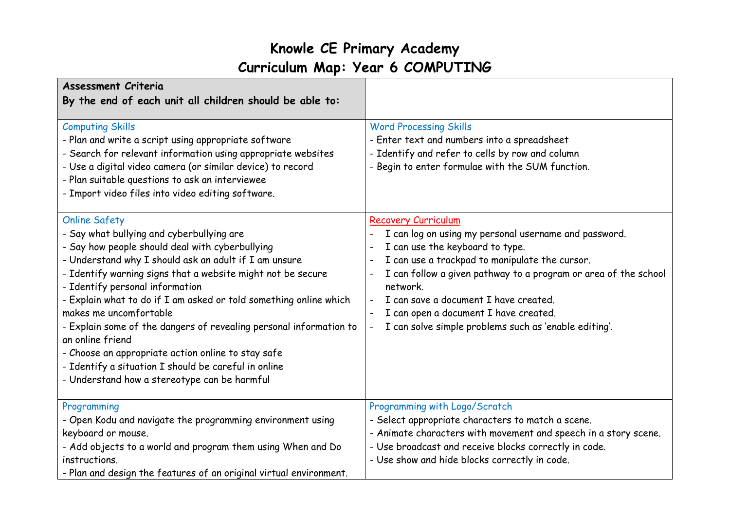| Assessment Criteria                                                                                                                                                                                                                                                                                                                                                                                                                                                                                                                                                                                                                                                                                                                                                                                                                                                                                                                                             |                                                                                                                                                                                                                                                                                                                                                                                                                                                                                                                                                                                                                                                   |
|-----------------------------------------------------------------------------------------------------------------------------------------------------------------------------------------------------------------------------------------------------------------------------------------------------------------------------------------------------------------------------------------------------------------------------------------------------------------------------------------------------------------------------------------------------------------------------------------------------------------------------------------------------------------------------------------------------------------------------------------------------------------------------------------------------------------------------------------------------------------------------------------------------------------------------------------------------------------|---------------------------------------------------------------------------------------------------------------------------------------------------------------------------------------------------------------------------------------------------------------------------------------------------------------------------------------------------------------------------------------------------------------------------------------------------------------------------------------------------------------------------------------------------------------------------------------------------------------------------------------------------|
| By the end of each unit all children should be able to:                                                                                                                                                                                                                                                                                                                                                                                                                                                                                                                                                                                                                                                                                                                                                                                                                                                                                                         |                                                                                                                                                                                                                                                                                                                                                                                                                                                                                                                                                                                                                                                   |
| <b>Computing Skills</b><br>- Plan and write a script using appropriate software<br>- Search for relevant information using appropriate websites<br>- Use a digital video camera (or similar device) to record<br>- Plan suitable questions to ask an interviewee<br>- Import video files into video editing software.<br><b>Online Safety</b><br>- Say what bullying and cyberbullying are<br>- Say how people should deal with cyberbullying<br>- Understand why I should ask an adult if I am unsure<br>- Identify warning signs that a website might not be secure<br>- Identify personal information<br>- Explain what to do if I am asked or told something online which<br>makes me uncomfortable<br>- Explain some of the dangers of revealing personal information to<br>an online friend<br>- Choose an appropriate action online to stay safe<br>- Identify a situation I should be careful in online<br>- Understand how a stereotype can be harmful | <b>Word Processing Skills</b><br>- Enter text and numbers into a spreadsheet<br>- Identify and refer to cells by row and column<br>- Begin to enter formulae with the SUM function.<br><b>Recovery Curriculum</b><br>I can log on using my personal username and password.<br>I can use the keyboard to type.<br>I can use a trackpad to manipulate the cursor.<br>I can follow a given pathway to a program or area of the school<br>$\overline{\phantom{a}}$<br>network.<br>I can save a document I have created.<br>I can open a document I have created.<br>I can solve simple problems such as 'enable editing'.<br>$\overline{\phantom{a}}$ |
| Programming                                                                                                                                                                                                                                                                                                                                                                                                                                                                                                                                                                                                                                                                                                                                                                                                                                                                                                                                                     | Programming with Logo/Scratch                                                                                                                                                                                                                                                                                                                                                                                                                                                                                                                                                                                                                     |
| - Open Kodu and navigate the programming environment using                                                                                                                                                                                                                                                                                                                                                                                                                                                                                                                                                                                                                                                                                                                                                                                                                                                                                                      | - Select appropriate characters to match a scene.                                                                                                                                                                                                                                                                                                                                                                                                                                                                                                                                                                                                 |
| keyboard or mouse.                                                                                                                                                                                                                                                                                                                                                                                                                                                                                                                                                                                                                                                                                                                                                                                                                                                                                                                                              | - Animate characters with movement and speech in a story scene.                                                                                                                                                                                                                                                                                                                                                                                                                                                                                                                                                                                   |
| - Add objects to a world and program them using When and Do                                                                                                                                                                                                                                                                                                                                                                                                                                                                                                                                                                                                                                                                                                                                                                                                                                                                                                     | - Use broadcast and receive blocks correctly in code.                                                                                                                                                                                                                                                                                                                                                                                                                                                                                                                                                                                             |
| instructions.                                                                                                                                                                                                                                                                                                                                                                                                                                                                                                                                                                                                                                                                                                                                                                                                                                                                                                                                                   | - Use show and hide blocks correctly in code.                                                                                                                                                                                                                                                                                                                                                                                                                                                                                                                                                                                                     |
| - Plan and design the features of an original virtual environment.                                                                                                                                                                                                                                                                                                                                                                                                                                                                                                                                                                                                                                                                                                                                                                                                                                                                                              |                                                                                                                                                                                                                                                                                                                                                                                                                                                                                                                                                                                                                                                   |